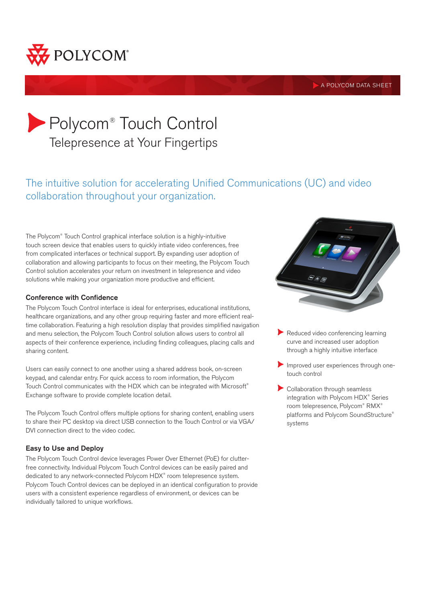

**A POLYCOM DATA SHEET** 

# Polycom® Touch Control Telepresence at Your Fingertips

# The intuitive solution for accelerating Unified Communications (UC) and video collaboration throughout your organization.

The Polycom® Touch Control graphical interface solution is a highly-intuitive touch screen device that enables users to quickly intiate video conferences, free from complicated interfaces or technical support. By expanding user adoption of collaboration and allowing participants to focus on their meeting, the Polycom Touch Control solution accelerates your return on investment in telepresence and video solutions while making your organization more productive and efficient.

# Conference with Confidence

The Polycom Touch Control interface is ideal for enterprises, educational institutions, healthcare organizations, and any other group requiring faster and more efficient realtime collaboration. Featuring a high resolution display that provides simplified navigation and menu selection, the Polycom Touch Control solution allows users to control all aspects of their conference experience, including finding colleagues, placing calls and sharing content.

Users can easily connect to one another using a shared address book, on-screen keypad, and calendar entry. For quick access to room information, the Polycom Touch Control communicates with the HDX which can be integrated with Microsoft® Exchange software to provide complete location detail.

The Polycom Touch Control offers multiple options for sharing content, enabling users to share their PC desktop via direct USB connection to the Touch Control or via VGA/ DVI connection direct to the video codec.

# Easy to Use and Deploy

The Polycom Touch Control device leverages Power Over Ethernet (PoE) for clutterfree connectivity. Individual Polycom Touch Control devices can be easily paired and dedicated to any network-connected Polycom HDX® room telepresence system. Polycom Touch Control devices can be deployed in an identical configuration to provide users with a consistent experience regardless of environment, or devices can be individually tailored to unique workflows.



- Reduced video conferencing learning curve and increased user adoption through a highly intuitive interface
- Improved user experiences through onetouch control
- Collaboration through seamless integration with Polycom HDX® Series room telepresence, Polycom® RMX® platforms and Polycom SoundStructure® systems